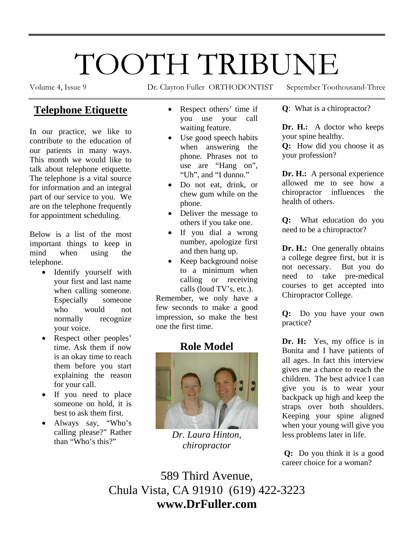# TOOTH TRIBUNE

Volume 4, Issue 9 Dr. Clayton Fuller ORTHODONTIST September Toothousand-Three

### **Telephone Etiquette**

In our practice, we like to contribute to the education of our patients in many ways. This month we would like to talk about telephone etiquette. The telephone is a vital source for information and an integral part of our service to you. We are on the telephone frequently for appointment scheduling.

Below is a list of the most important things to keep in mind when using the telephone.

- Identify yourself with your first and last name when calling someone. Especially someone who would not normally recognize your voice.
- Respect other peoples' time. Ask them if now is an okay time to reach them before you start explaining the reason for your call.
- If you need to place someone on hold, it is best to ask them first.
- Always say, "Who's calling please?" Rather than "Who's this?"
- Respect others' time if you use your call waiting feature.
- Use good speech habits when answering the phone. Phrases not to use are "Hang on", "Uh", and "I dunno."
- Do not eat, drink, or chew gum while on the phone.
- Deliver the message to others if you take one.
- If you dial a wrong number, apologize first and then hang up.
- Keep background noise to a minimum when calling or receiving calls (loud TV's, etc.).

Remember, we only have a few seconds to make a good impression, so make the best one the first time.

## **Role Model**



*Dr. Laura Hinton, chiropractor* 

**Q**: What is a chiropractor?

**Dr. H.:** A doctor who keeps your spine healthy.

**Q:** How did you choose it as your profession?

**Dr. H.:** A personal experience allowed me to see how a chiropractor influences the health of others.

**Q:** What education do you need to be a chiropractor?

**Dr. H.:** One generally obtains a college degree first, but it is not necessary. But you do need to take pre-medical courses to get accepted into Chiropractor College.

**Q:** Do you have your own practice?

**Dr. H:** Yes, my office is in Bonita and I have patients of all ages. In fact this interview gives me a chance to reach the children. The best advice I can give you is to wear your backpack up high and keep the straps over both shoulders. Keeping your spine aligned when your young will give you less problems later in life.

 **Q:** Do you think it is a good career choice for a woman?

589 Third Avenue, Chula Vista, CA 91910 (619) 422-3223 **www.DrFuller.com**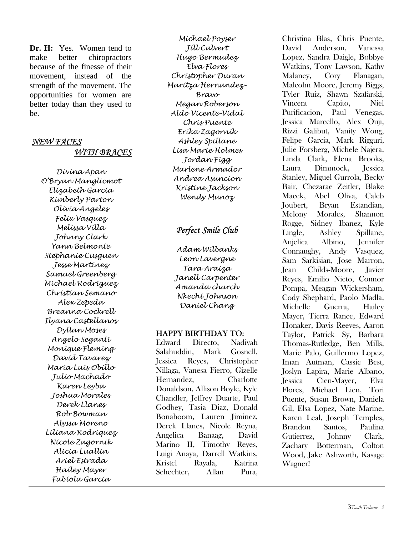**Dr. H:** Yes. Women tend to make better chiropractors because of the finesse of their movement, instead of the strength of the movement. The opportunities for women are better today than they used to be.

#### *NEW FACES WITH BRACES*

*Divina Apan O'Bryan Manglicmot Elizabeth Garcia Kimberly Parton Olivia Angeles Felix Vasquez Melissa Villa Johnny Clark Yann Belmonte Stephanie Cusguen Jesse Martinez Samuel Greenberg Michael Rodriguez Christian Semano Alex Zepeda Breanna Cockrell Ilyana Castellanos Dyllan Moses Angelo Seganti Monique Fleming David Tavarez Maria Luis Obillo Julio Machado Karen Leyba Joshua Morales Derek Llanes Rob Bowman Alyssa Moreno Liliana Rodriquez Nicole Zagornik Alicia Luallin Ariel Estrada Hailey Mayer Fabiola Garcia* 

*Michael Poyser Jill Calvert Hugo Bermudez Elva Flores Christopher Duran Maritza Hernandez-Bravo Megan Roberson Aldo Vicente-Vidal Chris Puente Erika Zagornik Ashley Spillane Lisa Marie Holmes Jordan Figg Marlene Armador Andrea Asuncion Kristine Jackson Wendy Munoz* 

#### *Perfect Smile Club*

*Adam Wilbanks Leon Lavergne Tara Araiza Janell Carpenter Amanda church Nkechi Johnson Daniel Chang* 

#### HAPPY BIRTHDAY TO:

Edward Directo, Nadiyah Salahuddin, Mark Gosnell, Jessica Reyes, Christopher Nillaga, Vanesa Fierro, Gizelle Hernandez, Charlotte Donaldson, Allison Boyle, Kyle Chandler, Jeffrey Duarte, Paul Godbey, Tasia Diaz, Donald Bonahoom, Lauren Jiminez, Derek Llanes, Nicole Reyna, Angelica Banaag, David Marino II, Timothy Reyes, Luigi Anaya, Darrell Watkins, Kristel Rayala, Katrina Schechter, Allan Pura,

Christina Blas, Chris Puente, David Anderson, Vanessa Lopez, Sandra Daigle, Bobbye Watkins, Tony Lawson, Kathy Malaney, Cory Flanagan, Malcolm Moore, Jeremy Biggs, Tyler Ruiz, Shawn Szafarski, Vincent Capito, Niel Purificacion, Paul Venegas, Jessica Marcello, Alex Ouji, Rizzi Galibut, Vanity Wong, Felipe Garcia, Mark Rigguri, Julie Forsberg, Michele Najera, Linda Clark, Elena Brooks, Laura Dimmock, Jessica Stanley, Miguel Gurrola, Becky Bair, Chezarae Zeitler, Blake Macek, Abel Oliva, Caleb Joubert, Bryan Estandian, Melony Morales, Shannon Rogge, Sidney Ibanez, Kyle Lingle, Ashley Spillane, Anjelica Albino, Jennifer Connaughy, Andy Vasquez, Sam Sarkisian, Jose Marron, Jean Childs-Moore, Javier Reyes, Emilio Nieto, Connor Pompa, Meagan Wickersham, Cody Shephard, Paolo Madla, Michelle Guerra, Hailey Mayer, Tierra Rance, Edward Honaker, Davis Reeves, Aaron Taylor, Patrick Sy, Barbara Thomas-Rutledge, Ben Mills, Marie Palo, Guillermo Lopez, Iman Autman, Cassie Best, Joslyn Lapira, Marie Albano, Jessica Cien-Mayer, Elva Flores, Michael Lien, Tori Puente, Susan Brown, Daniela Gil, Elsa Lopez, Nate Marine, Karen Leal, Joseph Temples, Brandon Santos, Paulina Gutierrez, Johnny Clark, Zachary Botterman, Colton Wood, Jake Ashworth, Kasage Wagner!